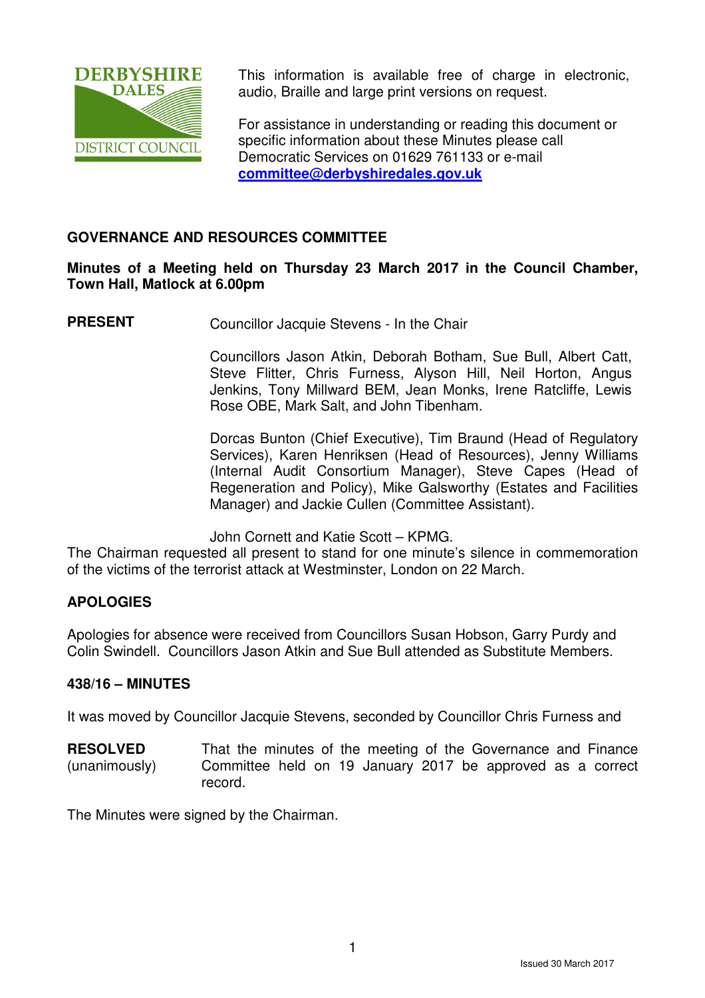

This information is available free of charge in electronic. audio, Braille and large print versions on request.

For assistance in understanding or reading this document or specific information about these Minutes please call Democratic Services on 01629 761133 or e-mail **committee@derbyshiredales.gov.uk**

# **GOVERNANCE AND RESOURCES COMMITTEE**

## **Minutes of a Meeting held on Thursday 23 March 2017 in the Council Chamber, Town Hall, Matlock at 6.00pm**

**PRESENT** Councillor Jacquie Stevens - In the Chair

 Councillors Jason Atkin, Deborah Botham, Sue Bull, Albert Catt, Steve Flitter, Chris Furness, Alyson Hill, Neil Horton, Angus Jenkins, Tony Millward BEM, Jean Monks, Irene Ratcliffe, Lewis Rose OBE, Mark Salt, and John Tibenham.

 Dorcas Bunton (Chief Executive), Tim Braund (Head of Regulatory Services), Karen Henriksen (Head of Resources), Jenny Williams (Internal Audit Consortium Manager), Steve Capes (Head of Regeneration and Policy), Mike Galsworthy (Estates and Facilities Manager) and Jackie Cullen (Committee Assistant).

John Cornett and Katie Scott – KPMG.

The Chairman requested all present to stand for one minute's silence in commemoration of the victims of the terrorist attack at Westminster, London on 22 March.

# **APOLOGIES**

Apologies for absence were received from Councillors Susan Hobson, Garry Purdy and Colin Swindell. Councillors Jason Atkin and Sue Bull attended as Substitute Members.

#### **438/16 – MINUTES**

It was moved by Councillor Jacquie Stevens, seconded by Councillor Chris Furness and

**RESOLVED** (unanimously) That the minutes of the meeting of the Governance and Finance Committee held on 19 January 2017 be approved as a correct record.

The Minutes were signed by the Chairman.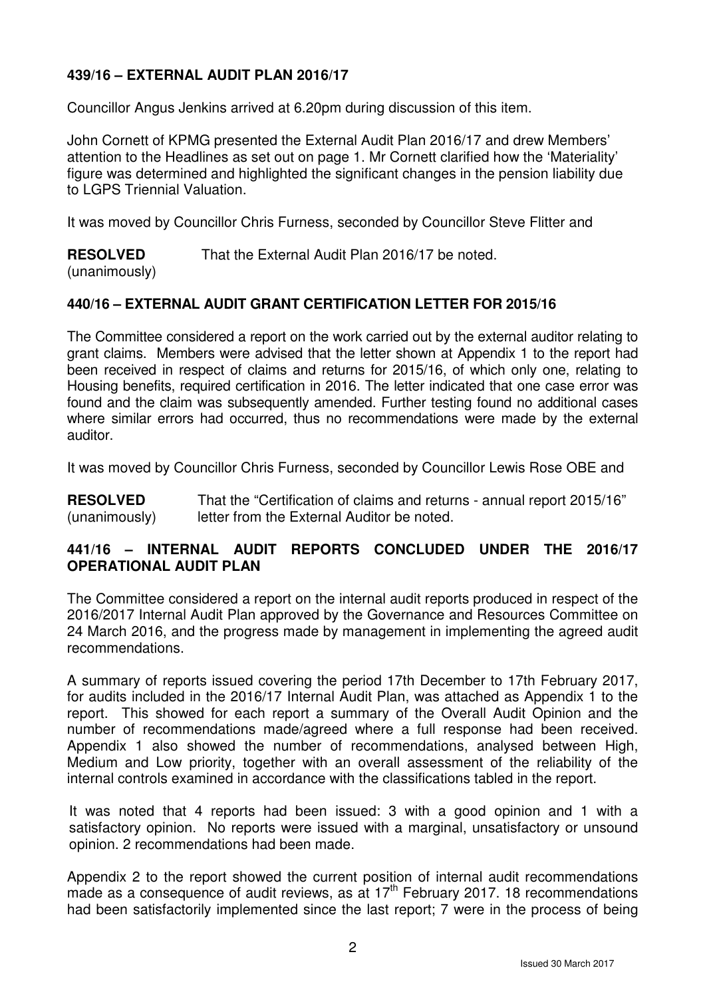# **439/16 – EXTERNAL AUDIT PLAN 2016/17**

Councillor Angus Jenkins arrived at 6.20pm during discussion of this item.

John Cornett of KPMG presented the External Audit Plan 2016/17 and drew Members' attention to the Headlines as set out on page 1. Mr Cornett clarified how the 'Materiality' figure was determined and highlighted the significant changes in the pension liability due to LGPS Triennial Valuation.

It was moved by Councillor Chris Furness, seconded by Councillor Steve Flitter and

**RESOLVED** That the External Audit Plan 2016/17 be noted.

## (unanimously)

# **440/16 – EXTERNAL AUDIT GRANT CERTIFICATION LETTER FOR 2015/16**

The Committee considered a report on the work carried out by the external auditor relating to grant claims. Members were advised that the letter shown at Appendix 1 to the report had been received in respect of claims and returns for 2015/16, of which only one, relating to Housing benefits, required certification in 2016. The letter indicated that one case error was found and the claim was subsequently amended. Further testing found no additional cases where similar errors had occurred, thus no recommendations were made by the external auditor.

It was moved by Councillor Chris Furness, seconded by Councillor Lewis Rose OBE and

**RESOLVED** (unanimously) That the "Certification of claims and returns - annual report 2015/16" letter from the External Auditor be noted.

# **441/16 – INTERNAL AUDIT REPORTS CONCLUDED UNDER THE 2016/17 OPERATIONAL AUDIT PLAN**

The Committee considered a report on the internal audit reports produced in respect of the 2016/2017 Internal Audit Plan approved by the Governance and Resources Committee on 24 March 2016, and the progress made by management in implementing the agreed audit recommendations.

A summary of reports issued covering the period 17th December to 17th February 2017, for audits included in the 2016/17 Internal Audit Plan, was attached as Appendix 1 to the report. This showed for each report a summary of the Overall Audit Opinion and the number of recommendations made/agreed where a full response had been received. Appendix 1 also showed the number of recommendations, analysed between High, Medium and Low priority, together with an overall assessment of the reliability of the internal controls examined in accordance with the classifications tabled in the report.

It was noted that 4 reports had been issued: 3 with a good opinion and 1 with a satisfactory opinion. No reports were issued with a marginal, unsatisfactory or unsound opinion. 2 recommendations had been made.

Appendix 2 to the report showed the current position of internal audit recommendations made as a consequence of audit reviews, as at  $17<sup>th</sup>$  February 2017. 18 recommendations had been satisfactorily implemented since the last report; 7 were in the process of being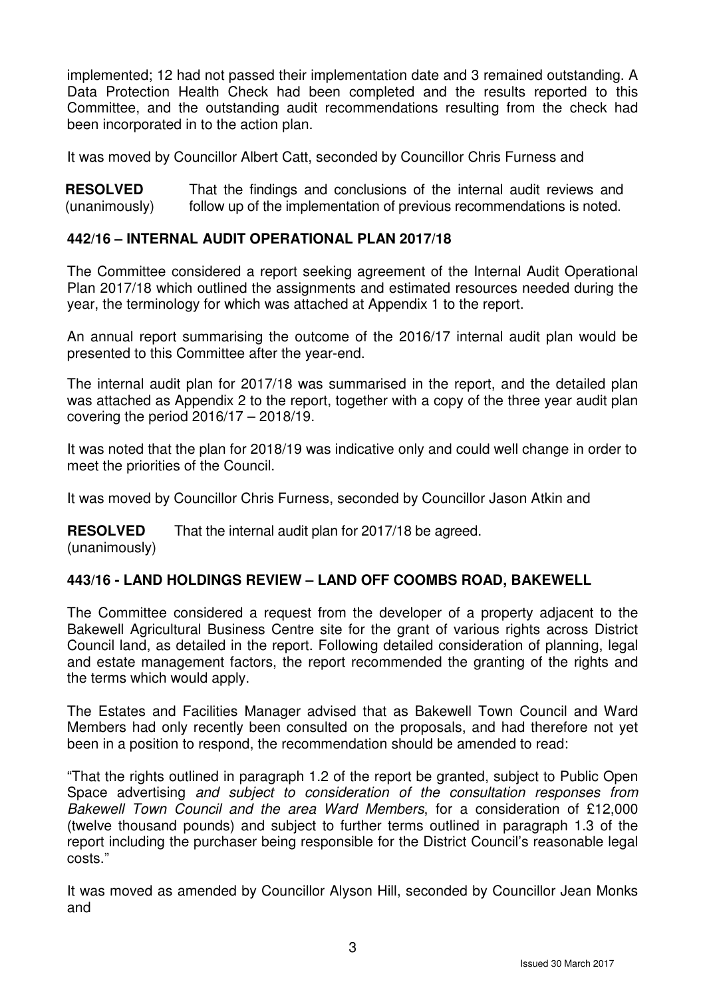implemented; 12 had not passed their implementation date and 3 remained outstanding. A Data Protection Health Check had been completed and the results reported to this Committee, and the outstanding audit recommendations resulting from the check had been incorporated in to the action plan.

It was moved by Councillor Albert Catt, seconded by Councillor Chris Furness and

**RESOLVED** (unanimously) That the findings and conclusions of the internal audit reviews and follow up of the implementation of previous recommendations is noted.

## **442/16 – INTERNAL AUDIT OPERATIONAL PLAN 2017/18**

The Committee considered a report seeking agreement of the Internal Audit Operational Plan 2017/18 which outlined the assignments and estimated resources needed during the year, the terminology for which was attached at Appendix 1 to the report.

An annual report summarising the outcome of the 2016/17 internal audit plan would be presented to this Committee after the year-end.

The internal audit plan for 2017/18 was summarised in the report, and the detailed plan was attached as Appendix 2 to the report, together with a copy of the three year audit plan covering the period 2016/17 – 2018/19.

It was noted that the plan for 2018/19 was indicative only and could well change in order to meet the priorities of the Council.

It was moved by Councillor Chris Furness, seconded by Councillor Jason Atkin and

**RESOLVED**  That the internal audit plan for 2017/18 be agreed.

(unanimously)

# **443/16 - LAND HOLDINGS REVIEW – LAND OFF COOMBS ROAD, BAKEWELL**

The Committee considered a request from the developer of a property adjacent to the Bakewell Agricultural Business Centre site for the grant of various rights across District Council land, as detailed in the report. Following detailed consideration of planning, legal and estate management factors, the report recommended the granting of the rights and the terms which would apply.

The Estates and Facilities Manager advised that as Bakewell Town Council and Ward Members had only recently been consulted on the proposals, and had therefore not yet been in a position to respond, the recommendation should be amended to read:

"That the rights outlined in paragraph 1.2 of the report be granted, subject to Public Open Space advertising and subject to consideration of the consultation responses from Bakewell Town Council and the area Ward Members, for a consideration of £12,000 (twelve thousand pounds) and subject to further terms outlined in paragraph 1.3 of the report including the purchaser being responsible for the District Council's reasonable legal costs."

It was moved as amended by Councillor Alyson Hill, seconded by Councillor Jean Monks and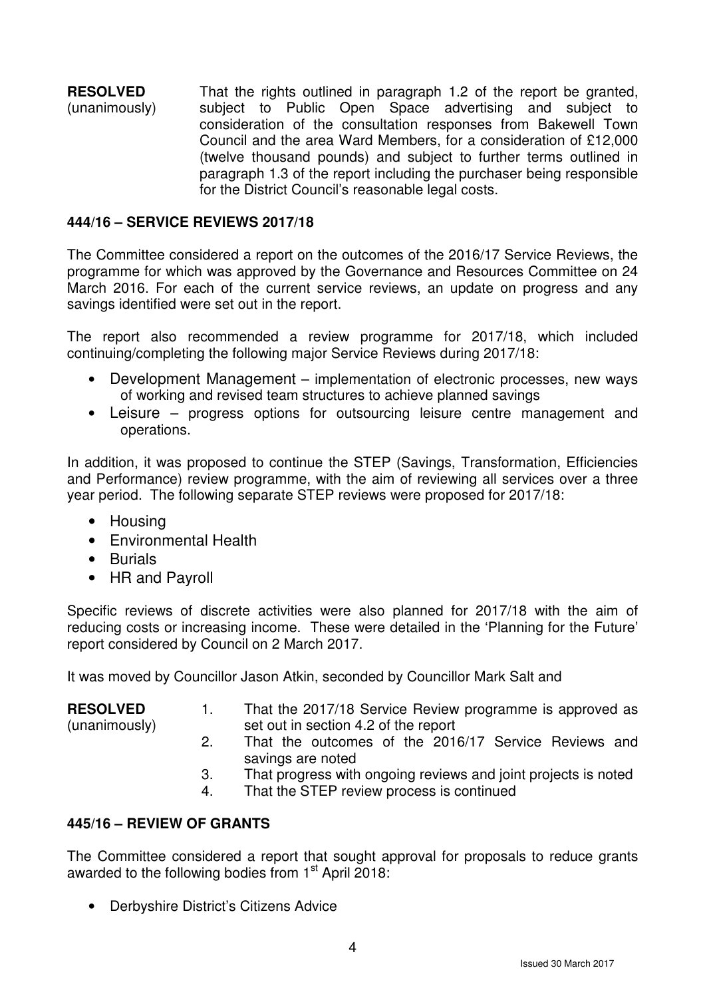**RESOLVED** (unanimously) That the rights outlined in paragraph 1.2 of the report be granted, subject to Public Open Space advertising and subject to consideration of the consultation responses from Bakewell Town Council and the area Ward Members, for a consideration of £12,000 (twelve thousand pounds) and subject to further terms outlined in paragraph 1.3 of the report including the purchaser being responsible for the District Council's reasonable legal costs.

#### **444/16 – SERVICE REVIEWS 2017/18**

The Committee considered a report on the outcomes of the 2016/17 Service Reviews, the programme for which was approved by the Governance and Resources Committee on 24 March 2016. For each of the current service reviews, an update on progress and any savings identified were set out in the report.

The report also recommended a review programme for 2017/18, which included continuing/completing the following major Service Reviews during 2017/18:

- Development Management implementation of electronic processes, new ways of working and revised team structures to achieve planned savings
- Leisure progress options for outsourcing leisure centre management and operations.

In addition, it was proposed to continue the STEP (Savings, Transformation, Efficiencies and Performance) review programme, with the aim of reviewing all services over a three year period. The following separate STEP reviews were proposed for 2017/18:

- Housing
- Environmental Health
- Burials
- HR and Payroll

Specific reviews of discrete activities were also planned for 2017/18 with the aim of reducing costs or increasing income. These were detailed in the 'Planning for the Future' report considered by Council on 2 March 2017.

It was moved by Councillor Jason Atkin, seconded by Councillor Mark Salt and

| <b>RESOLVED</b> | That the 2017/18 Service Review programme is approved as                  |  |  |  |  |  |
|-----------------|---------------------------------------------------------------------------|--|--|--|--|--|
| (unanimously)   | set out in section 4.2 of the report                                      |  |  |  |  |  |
|                 | That the outcomes of the 2016/17 Service Reviews and<br>savings are noted |  |  |  |  |  |

- 3. That progress with ongoing reviews and joint projects is noted
- 4. That the STEP review process is continued

# **445/16 – REVIEW OF GRANTS**

The Committee considered a report that sought approval for proposals to reduce grants awarded to the following bodies from 1<sup>st</sup> April 2018:

• Derbyshire District's Citizens Advice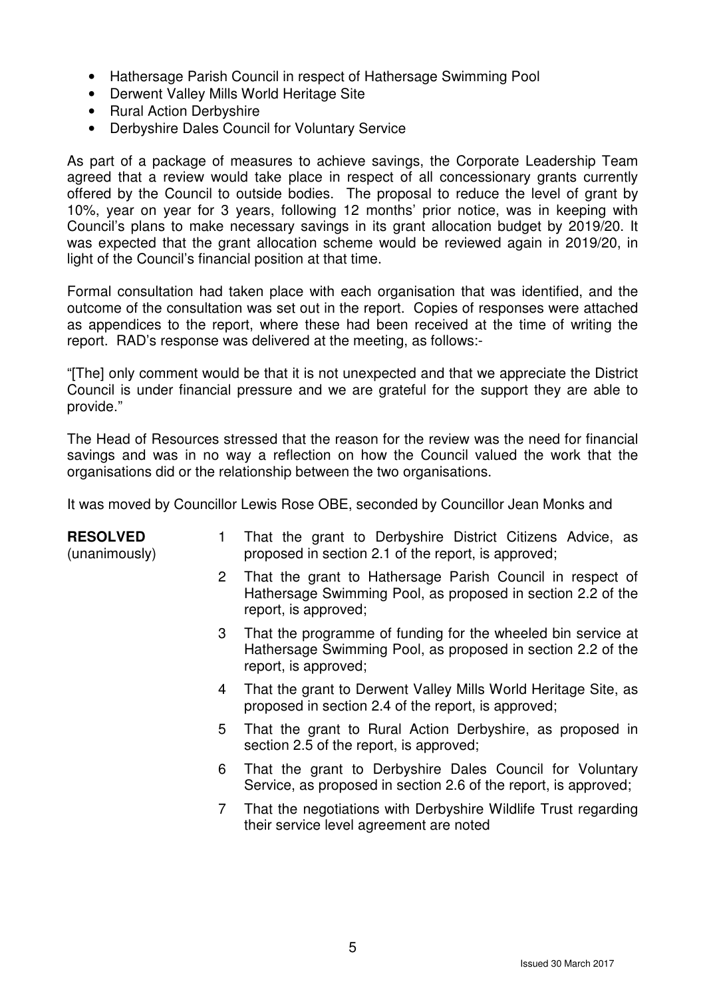- Hathersage Parish Council in respect of Hathersage Swimming Pool
- Derwent Valley Mills World Heritage Site
- Rural Action Derbyshire
- Derbyshire Dales Council for Voluntary Service

As part of a package of measures to achieve savings, the Corporate Leadership Team agreed that a review would take place in respect of all concessionary grants currently offered by the Council to outside bodies. The proposal to reduce the level of grant by 10%, year on year for 3 years, following 12 months' prior notice, was in keeping with Council's plans to make necessary savings in its grant allocation budget by 2019/20. It was expected that the grant allocation scheme would be reviewed again in 2019/20, in light of the Council's financial position at that time.

Formal consultation had taken place with each organisation that was identified, and the outcome of the consultation was set out in the report. Copies of responses were attached as appendices to the report, where these had been received at the time of writing the report. RAD's response was delivered at the meeting, as follows:-

"[The] only comment would be that it is not unexpected and that we appreciate the District Council is under financial pressure and we are grateful for the support they are able to provide."

The Head of Resources stressed that the reason for the review was the need for financial savings and was in no way a reflection on how the Council valued the work that the organisations did or the relationship between the two organisations.

It was moved by Councillor Lewis Rose OBE, seconded by Councillor Jean Monks and

| <b>RESOLVED</b><br>(unanimously) | 1                    | That the grant to Derbyshire District Citizens Advice, as<br>proposed in section 2.1 of the report, is approved;                                    |
|----------------------------------|----------------------|-----------------------------------------------------------------------------------------------------------------------------------------------------|
|                                  | $\mathbf{2}^{\circ}$ | That the grant to Hathersage Parish Council in respect of<br>Hathersage Swimming Pool, as proposed in section 2.2 of the<br>report, is approved;    |
|                                  | 3                    | That the programme of funding for the wheeled bin service at<br>Hathersage Swimming Pool, as proposed in section 2.2 of the<br>report, is approved; |
|                                  | 4                    | That the grant to Derwent Valley Mills World Heritage Site, as<br>proposed in section 2.4 of the report, is approved;                               |
|                                  | 5                    | That the grant to Rural Action Derbyshire, as proposed in<br>section 2.5 of the report, is approved;                                                |
|                                  | 6                    | That the grant to Derbyshire Dales Council for Voluntary<br>Service, as proposed in section 2.6 of the report, is approved;                         |
|                                  | 7                    | That the negotiations with Derbyshire Wildlife Trust regarding<br>their service level agreement are noted                                           |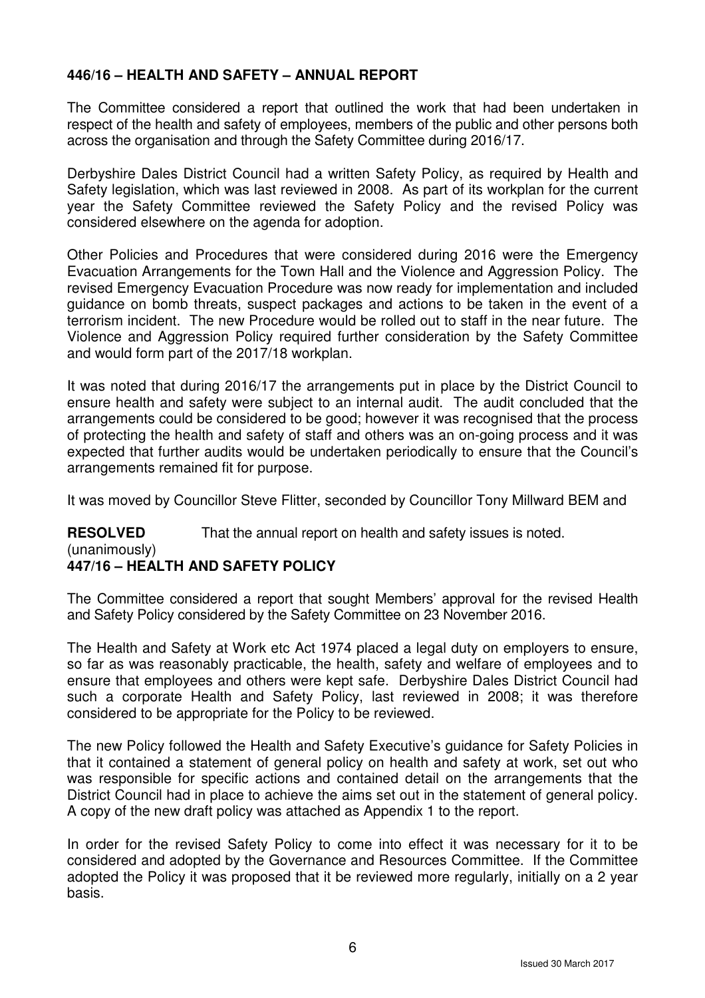# **446/16 – HEALTH AND SAFETY – ANNUAL REPORT**

The Committee considered a report that outlined the work that had been undertaken in respect of the health and safety of employees, members of the public and other persons both across the organisation and through the Safety Committee during 2016/17.

Derbyshire Dales District Council had a written Safety Policy, as required by Health and Safety legislation, which was last reviewed in 2008. As part of its workplan for the current year the Safety Committee reviewed the Safety Policy and the revised Policy was considered elsewhere on the agenda for adoption.

Other Policies and Procedures that were considered during 2016 were the Emergency Evacuation Arrangements for the Town Hall and the Violence and Aggression Policy. The revised Emergency Evacuation Procedure was now ready for implementation and included guidance on bomb threats, suspect packages and actions to be taken in the event of a terrorism incident. The new Procedure would be rolled out to staff in the near future. The Violence and Aggression Policy required further consideration by the Safety Committee and would form part of the 2017/18 workplan.

It was noted that during 2016/17 the arrangements put in place by the District Council to ensure health and safety were subject to an internal audit. The audit concluded that the arrangements could be considered to be good; however it was recognised that the process of protecting the health and safety of staff and others was an on-going process and it was expected that further audits would be undertaken periodically to ensure that the Council's arrangements remained fit for purpose.

It was moved by Councillor Steve Flitter, seconded by Councillor Tony Millward BEM and

**RESOLVED** That the annual report on health and safety issues is noted.

#### (unanimously) **447/16 – HEALTH AND SAFETY POLICY**

The Committee considered a report that sought Members' approval for the revised Health and Safety Policy considered by the Safety Committee on 23 November 2016.

The Health and Safety at Work etc Act 1974 placed a legal duty on employers to ensure, so far as was reasonably practicable, the health, safety and welfare of employees and to ensure that employees and others were kept safe. Derbyshire Dales District Council had such a corporate Health and Safety Policy, last reviewed in 2008; it was therefore considered to be appropriate for the Policy to be reviewed.

The new Policy followed the Health and Safety Executive's guidance for Safety Policies in that it contained a statement of general policy on health and safety at work, set out who was responsible for specific actions and contained detail on the arrangements that the District Council had in place to achieve the aims set out in the statement of general policy. A copy of the new draft policy was attached as Appendix 1 to the report.

In order for the revised Safety Policy to come into effect it was necessary for it to be considered and adopted by the Governance and Resources Committee. If the Committee adopted the Policy it was proposed that it be reviewed more regularly, initially on a 2 year basis.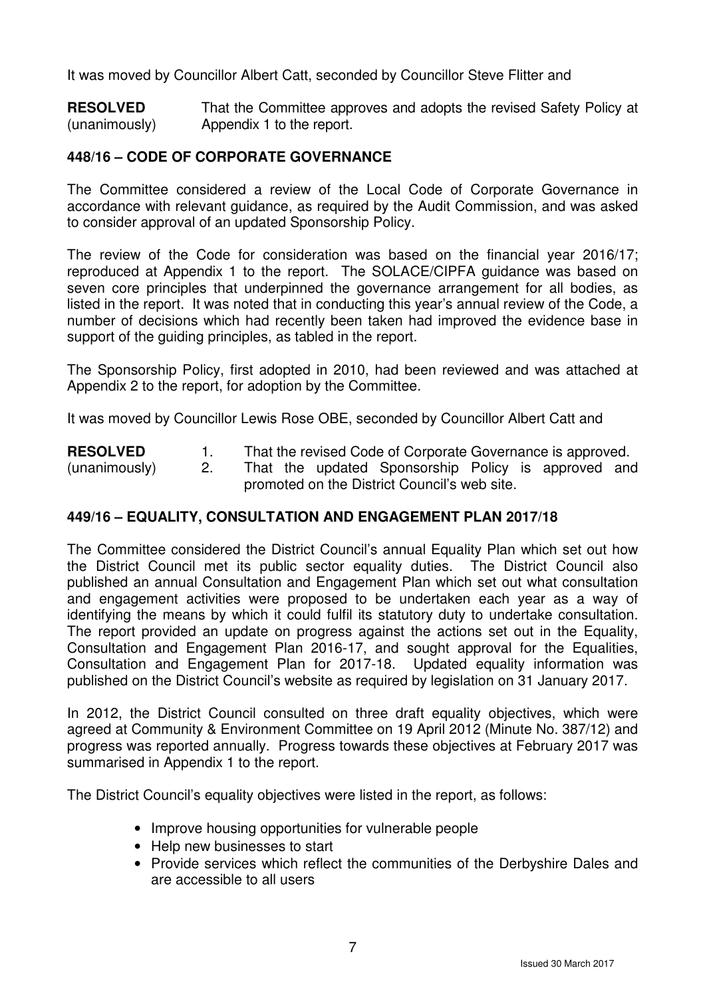It was moved by Councillor Albert Catt, seconded by Councillor Steve Flitter and

**RESOLVED** (unanimously) That the Committee approves and adopts the revised Safety Policy at Appendix 1 to the report.

## **448/16 – CODE OF CORPORATE GOVERNANCE**

The Committee considered a review of the Local Code of Corporate Governance in accordance with relevant guidance, as required by the Audit Commission, and was asked to consider approval of an updated Sponsorship Policy.

The review of the Code for consideration was based on the financial year 2016/17; reproduced at Appendix 1 to the report. The SOLACE/CIPFA guidance was based on seven core principles that underpinned the governance arrangement for all bodies, as listed in the report. It was noted that in conducting this year's annual review of the Code, a number of decisions which had recently been taken had improved the evidence base in support of the guiding principles, as tabled in the report.

The Sponsorship Policy, first adopted in 2010, had been reviewed and was attached at Appendix 2 to the report, for adoption by the Committee.

It was moved by Councillor Lewis Rose OBE, seconded by Councillor Albert Catt and

**RESOLVED** (unanimously) 1. That the revised Code of Corporate Governance is approved. 2. That the updated Sponsorship Policy is approved and promoted on the District Council's web site.

# **449/16 – EQUALITY, CONSULTATION AND ENGAGEMENT PLAN 2017/18**

The Committee considered the District Council's annual Equality Plan which set out how the District Council met its public sector equality duties. The District Council also published an annual Consultation and Engagement Plan which set out what consultation and engagement activities were proposed to be undertaken each year as a way of identifying the means by which it could fulfil its statutory duty to undertake consultation. The report provided an update on progress against the actions set out in the Equality, Consultation and Engagement Plan 2016-17, and sought approval for the Equalities, Consultation and Engagement Plan for 2017-18. Updated equality information was published on the District Council's website as required by legislation on 31 January 2017.

In 2012, the District Council consulted on three draft equality objectives, which were agreed at Community & Environment Committee on 19 April 2012 (Minute No. 387/12) and progress was reported annually. Progress towards these objectives at February 2017 was summarised in Appendix 1 to the report.

The District Council's equality objectives were listed in the report, as follows:

- Improve housing opportunities for vulnerable people
- Help new businesses to start
- Provide services which reflect the communities of the Derbyshire Dales and are accessible to all users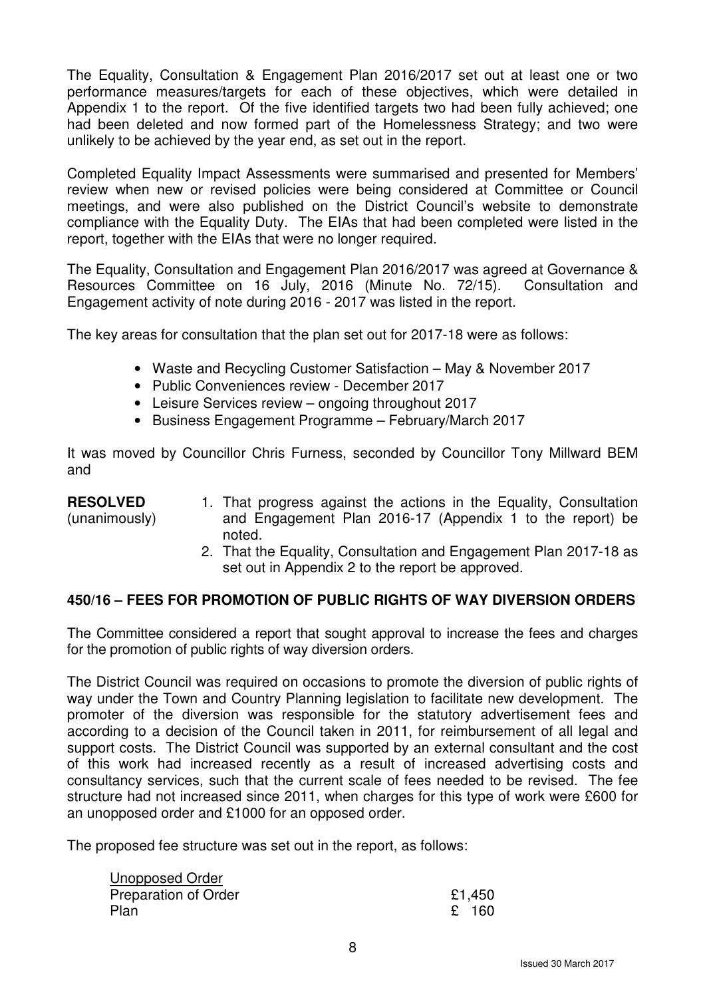The Equality, Consultation & Engagement Plan 2016/2017 set out at least one or two performance measures/targets for each of these objectives, which were detailed in Appendix 1 to the report. Of the five identified targets two had been fully achieved; one had been deleted and now formed part of the Homelessness Strategy; and two were unlikely to be achieved by the year end, as set out in the report.

Completed Equality Impact Assessments were summarised and presented for Members' review when new or revised policies were being considered at Committee or Council meetings, and were also published on the District Council's website to demonstrate compliance with the Equality Duty. The EIAs that had been completed were listed in the report, together with the EIAs that were no longer required.

The Equality, Consultation and Engagement Plan 2016/2017 was agreed at Governance & Resources Committee on 16 July, 2016 (Minute No. 72/15). Consultation and Engagement activity of note during 2016 - 2017 was listed in the report.

The key areas for consultation that the plan set out for 2017-18 were as follows:

- Waste and Recycling Customer Satisfaction May & November 2017
- Public Conveniences review December 2017
- Leisure Services review ongoing throughout 2017
- Business Engagement Programme February/March 2017

It was moved by Councillor Chris Furness, seconded by Councillor Tony Millward BEM and

#### **RESOLVED** (unanimously) 1. That progress against the actions in the Equality, Consultation and Engagement Plan 2016-17 (Appendix 1 to the report) be noted.

2. That the Equality, Consultation and Engagement Plan 2017-18 as set out in Appendix 2 to the report be approved.

# **450/16 – FEES FOR PROMOTION OF PUBLIC RIGHTS OF WAY DIVERSION ORDERS**

The Committee considered a report that sought approval to increase the fees and charges for the promotion of public rights of way diversion orders.

The District Council was required on occasions to promote the diversion of public rights of way under the Town and Country Planning legislation to facilitate new development. The promoter of the diversion was responsible for the statutory advertisement fees and according to a decision of the Council taken in 2011, for reimbursement of all legal and support costs. The District Council was supported by an external consultant and the cost of this work had increased recently as a result of increased advertising costs and consultancy services, such that the current scale of fees needed to be revised. The fee structure had not increased since 2011, when charges for this type of work were £600 for an unopposed order and £1000 for an opposed order.

The proposed fee structure was set out in the report, as follows:

| <b>Unopposed Order</b> |        |
|------------------------|--------|
| Preparation of Order   | £1,450 |
| Plan                   | £ 160  |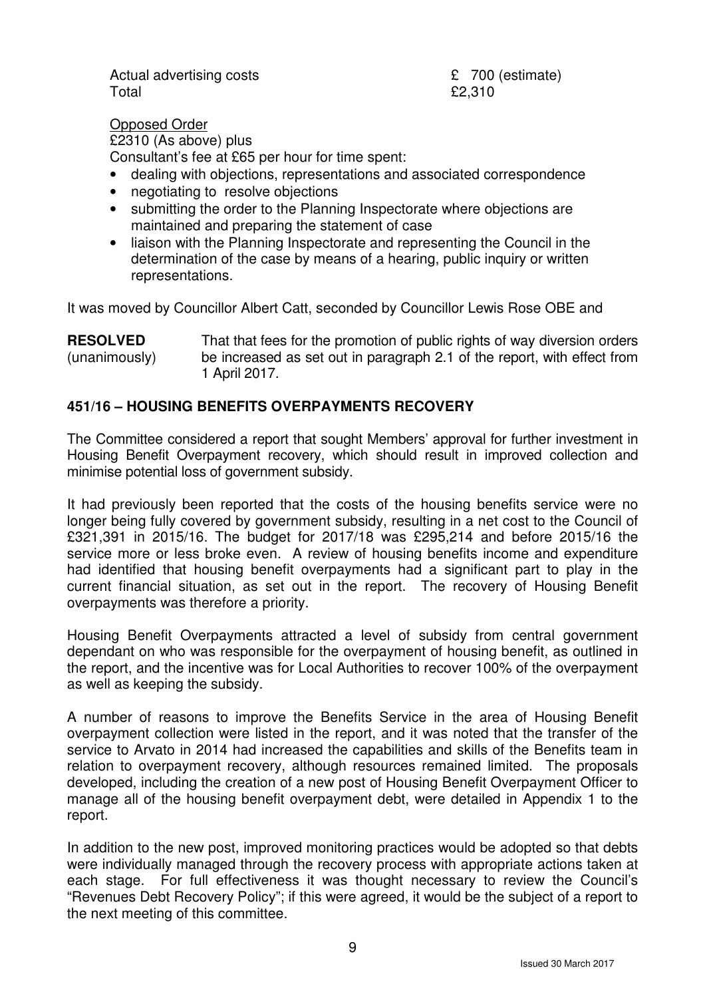Actual advertising costs **E** 700 (estimate)  $Total$   $E2,310$ 

Opposed Order £2310 (As above) plus Consultant's fee at £65 per hour for time spent:

- dealing with objections, representations and associated correspondence
- negotiating to resolve objections
- submitting the order to the Planning Inspectorate where objections are maintained and preparing the statement of case
- liaison with the Planning Inspectorate and representing the Council in the determination of the case by means of a hearing, public inquiry or written representations.

It was moved by Councillor Albert Catt, seconded by Councillor Lewis Rose OBE and

**RESOLVED** (unanimously) That that fees for the promotion of public rights of way diversion orders be increased as set out in paragraph 2.1 of the report, with effect from 1 April 2017.

# **451/16 – HOUSING BENEFITS OVERPAYMENTS RECOVERY**

The Committee considered a report that sought Members' approval for further investment in Housing Benefit Overpayment recovery, which should result in improved collection and minimise potential loss of government subsidy.

It had previously been reported that the costs of the housing benefits service were no longer being fully covered by government subsidy, resulting in a net cost to the Council of £321,391 in 2015/16. The budget for 2017/18 was £295,214 and before 2015/16 the service more or less broke even. A review of housing benefits income and expenditure had identified that housing benefit overpayments had a significant part to play in the current financial situation, as set out in the report. The recovery of Housing Benefit overpayments was therefore a priority.

Housing Benefit Overpayments attracted a level of subsidy from central government dependant on who was responsible for the overpayment of housing benefit, as outlined in the report, and the incentive was for Local Authorities to recover 100% of the overpayment as well as keeping the subsidy.

A number of reasons to improve the Benefits Service in the area of Housing Benefit overpayment collection were listed in the report, and it was noted that the transfer of the service to Arvato in 2014 had increased the capabilities and skills of the Benefits team in relation to overpayment recovery, although resources remained limited. The proposals developed, including the creation of a new post of Housing Benefit Overpayment Officer to manage all of the housing benefit overpayment debt, were detailed in Appendix 1 to the report.

In addition to the new post, improved monitoring practices would be adopted so that debts were individually managed through the recovery process with appropriate actions taken at each stage. For full effectiveness it was thought necessary to review the Council's "Revenues Debt Recovery Policy"; if this were agreed, it would be the subject of a report to the next meeting of this committee.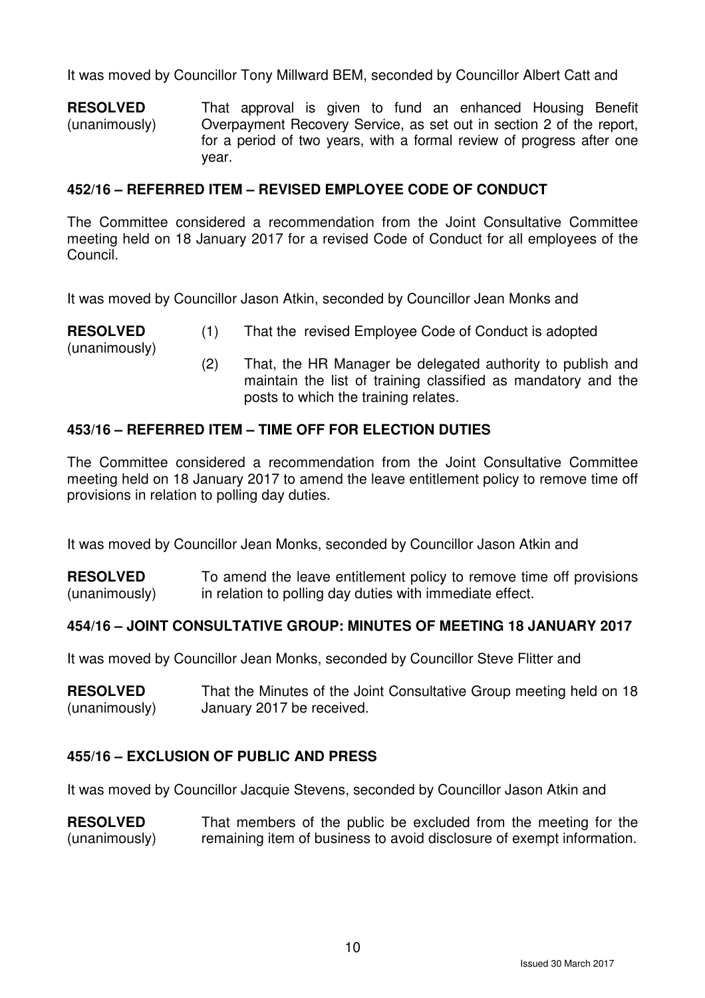It was moved by Councillor Tony Millward BEM, seconded by Councillor Albert Catt and

**RESOLVED** (unanimously) That approval is given to fund an enhanced Housing Benefit Overpayment Recovery Service, as set out in section 2 of the report, for a period of two years, with a formal review of progress after one year.

## **452/16 – REFERRED ITEM – REVISED EMPLOYEE CODE OF CONDUCT**

The Committee considered a recommendation from the Joint Consultative Committee meeting held on 18 January 2017 for a revised Code of Conduct for all employees of the Council.

It was moved by Councillor Jason Atkin, seconded by Councillor Jean Monks and

- **RESOLVED** (1) That the revised Employee Code of Conduct is adopted
	- (2) That, the HR Manager be delegated authority to publish and maintain the list of training classified as mandatory and the posts to which the training relates.

## **453/16 – REFERRED ITEM – TIME OFF FOR ELECTION DUTIES**

(unanimously)

The Committee considered a recommendation from the Joint Consultative Committee meeting held on 18 January 2017 to amend the leave entitlement policy to remove time off provisions in relation to polling day duties.

It was moved by Councillor Jean Monks, seconded by Councillor Jason Atkin and

**RESOLVED** (unanimously) To amend the leave entitlement policy to remove time off provisions in relation to polling day duties with immediate effect.

#### **454/16 – JOINT CONSULTATIVE GROUP: MINUTES OF MEETING 18 JANUARY 2017**

It was moved by Councillor Jean Monks, seconded by Councillor Steve Flitter and

| <b>RESOLVED</b> | That the Minutes of the Joint Consultative Group meeting held on 18 |
|-----------------|---------------------------------------------------------------------|
| (unanimously)   | January 2017 be received.                                           |

#### **455/16 – EXCLUSION OF PUBLIC AND PRESS**

It was moved by Councillor Jacquie Stevens, seconded by Councillor Jason Atkin and

**RESOLVED** (unanimously) That members of the public be excluded from the meeting for the remaining item of business to avoid disclosure of exempt information.